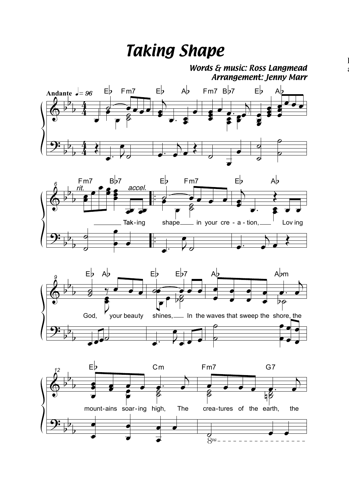## *Taking Shape*

*Words & music: Ross Langmead Arrangement: Jenny Marr*

 $\mathbf{l}$ ć







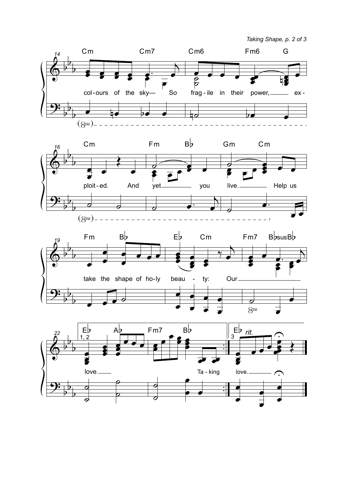*Taking Shape, p. 2 of 3*